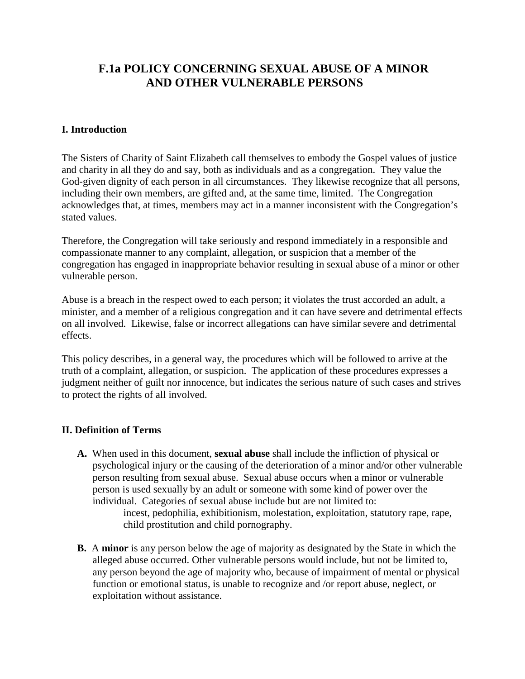# **F.1a POLICY CONCERNING SEXUAL ABUSE OF A MINOR AND OTHER VULNERABLE PERSONS**

# **I. Introduction**

The Sisters of Charity of Saint Elizabeth call themselves to embody the Gospel values of justice and charity in all they do and say, both as individuals and as a congregation. They value the God-given dignity of each person in all circumstances. They likewise recognize that all persons, including their own members, are gifted and, at the same time, limited. The Congregation acknowledges that, at times, members may act in a manner inconsistent with the Congregation's stated values.

Therefore, the Congregation will take seriously and respond immediately in a responsible and compassionate manner to any complaint, allegation, or suspicion that a member of the congregation has engaged in inappropriate behavior resulting in sexual abuse of a minor or other vulnerable person.

Abuse is a breach in the respect owed to each person; it violates the trust accorded an adult, a minister, and a member of a religious congregation and it can have severe and detrimental effects on all involved. Likewise, false or incorrect allegations can have similar severe and detrimental effects.

This policy describes, in a general way, the procedures which will be followed to arrive at the truth of a complaint, allegation, or suspicion. The application of these procedures expresses a judgment neither of guilt nor innocence, but indicates the serious nature of such cases and strives to protect the rights of all involved.

# **II. Definition of Terms**

**A.** When used in this document, **sexual abuse** shall include the infliction of physical or psychological injury or the causing of the deterioration of a minor and/or other vulnerable person resulting from sexual abuse. Sexual abuse occurs when a minor or vulnerable person is used sexually by an adult or someone with some kind of power over the individual. Categories of sexual abuse include but are not limited to:

incest, pedophilia, exhibitionism, molestation, exploitation, statutory rape, rape, child prostitution and child pornography.

**B.** A **minor** is any person below the age of majority as designated by the State in which the alleged abuse occurred. Other vulnerable persons would include, but not be limited to, any person beyond the age of majority who, because of impairment of mental or physical function or emotional status, is unable to recognize and /or report abuse, neglect, or exploitation without assistance.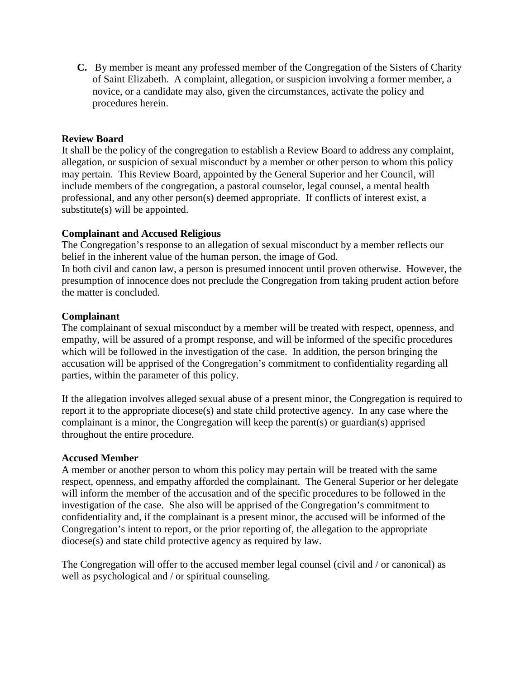**C.** By member is meant any professed member of the Congregation of the Sisters of Charity of Saint Elizabeth. A complaint, allegation, or suspicion involving a former member, a novice, or a candidate may also, given the circumstances, activate the policy and procedures herein.

## **Review Board**

It shall be the policy of the congregation to establish a Review Board to address any complaint, allegation, or suspicion of sexual misconduct by a member or other person to whom this policy may pertain. This Review Board, appointed by the General Superior and her Council, will include members of the congregation, a pastoral counselor, legal counsel, a mental health professional, and any other person(s) deemed appropriate. If conflicts of interest exist, a substitute(s) will be appointed.

## **Complainant and Accused Religious**

The Congregation's response to an allegation of sexual misconduct by a member reflects our belief in the inherent value of the human person, the image of God.

In both civil and canon law, a person is presumed innocent until proven otherwise. However, the presumption of innocence does not preclude the Congregation from taking prudent action before the matter is concluded.

## **Complainant**

The complainant of sexual misconduct by a member will be treated with respect, openness, and empathy, will be assured of a prompt response, and will be informed of the specific procedures which will be followed in the investigation of the case. In addition, the person bringing the accusation will be apprised of the Congregation's commitment to confidentiality regarding all parties, within the parameter of this policy.

If the allegation involves alleged sexual abuse of a present minor, the Congregation is required to report it to the appropriate diocese(s) and state child protective agency. In any case where the complainant is a minor, the Congregation will keep the parent(s) or guardian(s) apprised throughout the entire procedure.

#### **Accused Member**

A member or another person to whom this policy may pertain will be treated with the same respect, openness, and empathy afforded the complainant. The General Superior or her delegate will inform the member of the accusation and of the specific procedures to be followed in the investigation of the case. She also will be apprised of the Congregation's commitment to confidentiality and, if the complainant is a present minor, the accused will be informed of the Congregation's intent to report, or the prior reporting of, the allegation to the appropriate diocese(s) and state child protective agency as required by law.

The Congregation will offer to the accused member legal counsel (civil and / or canonical) as well as psychological and / or spiritual counseling.